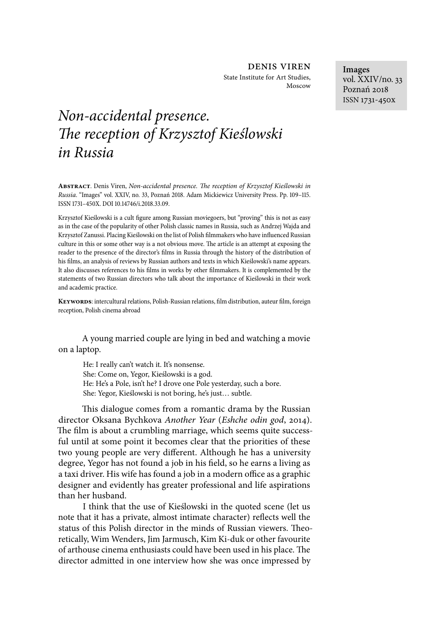denis viren State Institute for Art Studies, Moscow

# *Non-accidental presence.*  !*e reception of Krzysztof Kie*ś*lowski in Russia*

**Abstract**. Denis Viren, *Non-accidental presence.* !*e reception of Krzysztof Kie*ś*lowski in Russia*. "Images" vol. XXIV, no. 33, Poznań 2018. Adam Mickiewicz University Press. Pp. 109-115. ISSN 1731-450X. DOI 10.14746/i.2018.33.09.

Krzysztof Kieślowski is a cult figure among Russian moviegoers, but "proving" this is not as easy as in the case of the popularity of other Polish classic names in Russia, such as Andrzej Wajda and Krzysztof Zanussi. Placing Kieślowski on the list of Polish filmmakers who have influenced Russian culture in this or some other way is a not obvious move. The article is an attempt at exposing the reader to the presence of the director's films in Russia through the history of the distribution of his films, an analysis of reviews by Russian authors and texts in which Kieślowski's name appears. It also discusses references to his films in works by other filmmakers. It is complemented by the statements of two Russian directors who talk about the importance of Kieślowski in their work and academic practice.

**KEYWORDS**: intercultural relations, Polish-Russian relations, film distribution, auteur film, foreign reception, Polish cinema abroad

A young married couple are lying in bed and watching a movie on a laptop.

He: I really can't watch it. It's nonsense. She: Come on, Yegor, Kieślowski is a god. He: He's a Pole, isn't he? I drove one Pole yesterday, such a bore. She: Yegor, Kieślowski is not boring, he's just… subtle.

This dialogue comes from a romantic drama by the Russian director Oksana Bychkova *Another Year* (*Eshche odin god*, 2014). The film is about a crumbling marriage, which seems quite successful until at some point it becomes clear that the priorities of these two young people are very different. Although he has a university degree, Yegor has not found a job in his field, so he earns a living as a taxi driver. His wife has found a job in a modern office as a graphic designer and evidently has greater professional and life aspirations than her husband.

I think that the use of Kieślowski in the quoted scene (let us note that it has a private, almost intimate character) reflects well the status of this Polish director in the minds of Russian viewers. Theoretically, Wim Wenders, Jim Jarmusch, Kim Ki-duk or other favourite of arthouse cinema enthusiasts could have been used in his place. The director admitted in one interview how she was once impressed by

**Images** vol. XXIV/no. 33 Poznań 2018 ISSN 1731-450x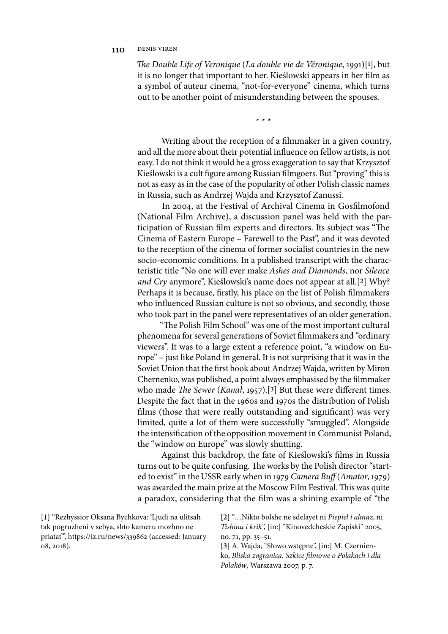## 110 DENIS VIREN

!*e Double Life of Veronique* (*La double vie de Véronique*, 1991)[**1**], but it is no longer that important to her. Kieślowski appears in her film as a symbol of auteur cinema, "not-for-everyone" cinema, which turns out to be another point of misunderstanding between the spouses.

\* \* \*

Writing about the reception of a filmmaker in a given country, and all the more about their potential influence on fellow artists, is not easy. I do not think it would be a gross exaggeration to say that Krzysztof Kieślowski is a cult figure among Russian filmgoers. But "proving" this is not as easy as in the case of the popularity of other Polish classic names in Russia, such as Andrzej Wajda and Krzysztof Zanussi.

In 2004, at the Festival of Archival Cinema in Gosfilmofond (National Film Archive), a discussion panel was held with the participation of Russian film experts and directors. Its subject was "The Cinema of Eastern Europe – Farewell to the Past", and it was devoted to the reception of the cinema of former socialist countries in the new socio-economic conditions. In a published transcript with the characteristic title "No one will ever make *Ashes and Diamonds*, nor *Silence and Cry* anymore", Kieślowski's name does not appear at all.[**2**] Why? Perhaps it is because, firstly, his place on the list of Polish filmmakers who influenced Russian culture is not so obvious, and secondly, those who took part in the panel were representatives of an older generation.

"The Polish Film School" was one of the most important cultural phenomena for several generations of Soviet filmmakers and "ordinary viewers". It was to a large extent a reference point, "a window on Europe" – just like Poland in general. It is not surprising that it was in the Soviet Union that the first book about Andrzej Wajda, written by Miron Chernenko, was published, a point always emphasised by the filmmaker who made *The Sewer* (*Kanał*, 1957).<sup>[3]</sup> But these were different times. Despite the fact that in the 1960s and 1970s the distribution of Polish films (those that were really outstanding and significant) was very limited, quite a lot of them were successfully "smuggled". Alongside the intensification of the opposition movement in Communist Poland, the "window on Europe" was slowly shutting.

Against this backdrop, the fate of Kieślowski's films in Russia turns out to be quite confusing. The works by the Polish director "started to exist" in the USSR early when in 1979 *Camera Buff* (*Amator*, 1979) was awarded the main prize at the Moscow Film Festival. This was quite a paradox, considering that the film was a shining example of "the

**[1]** "Rezhyssior Oksana Bychkova: 'Ljudi na ulitsah tak pogruzheni v sebya, shto kameru mozhno ne priatat'", https://iz.ru/news/339862 (accessed: January 08, 2018).

**[2]** "…Nikto bolshe ne sdelayet ni *Piepiel i almaz*, ni *Tishinu i krik*", [in:] "Kinovedcheskie Zapiski" 2005, no. 71, pp. 35–51.

**[3]** A. Wajda, "Słowo wstępne", [in:] M. Czernienko, *Bliska zagranica. Szkice* &*lmowe o Polakach i dla Polaków*, Warszawa 2007, p. 7.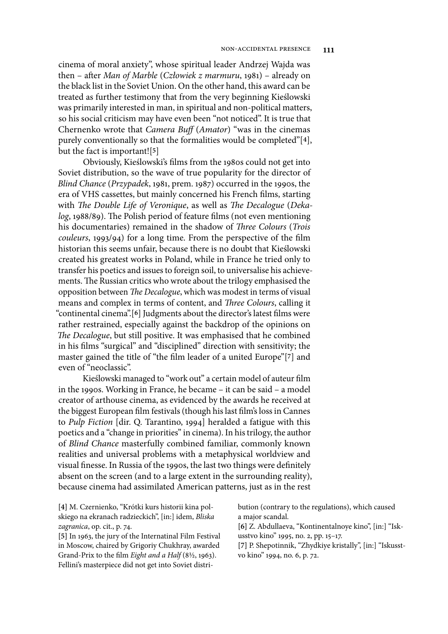cinema of moral anxiety", whose spiritual leader Andrzej Wajda was then – after *Man of Marble* (*Człowiek z marmuru*, 1981) – already on the black list in the Soviet Union. On the other hand, this award can be treated as further testimony that from the very beginning Kieślowski was primarily interested in man, in spiritual and non-political matters, so his social criticism may have even been "not noticed". It is true that Chernenko wrote that *Camera Buff* (*Amator*) "was in the cinemas purely conventionally so that the formalities would be completed"[**4**], but the fact is important![**5**]

Obviously, Kieślowski's films from the 1980s could not get into Soviet distribution, so the wave of true popularity for the director of *Blind Chance* (*Przypadek*, 1981, prem. 1987) occurred in the 1990s, the era of VHS cassettes, but mainly concerned his French films, starting with *The Double Life of Veronique*, as well as *The Decalogue* (*Deka*log, 1988/89). The Polish period of feature films (not even mentioning his documentaries) remained in the shadow of *Three Colours* (*Trois couleurs*, 1993/94) for a long time. From the perspective of the film historian this seems unfair, because there is no doubt that Kieślowski created his greatest works in Poland, while in France he tried only to transfer his poetics and issues to foreign soil, to universalise his achievements. The Russian critics who wrote about the trilogy emphasised the opposition between *The Decalogue*, which was modest in terms of visual means and complex in terms of content, and *Three Colours*, calling it "continental cinema".<sup>[6]</sup> Judgments about the director's latest films were rather restrained, especially against the backdrop of the opinions on The Decalogue, but still positive. It was emphasised that he combined in his films "surgical" and "disciplined" direction with sensitivity; the master gained the title of "the 3lm leader of a united Europe"[**7**] and even of "neoclassic".

Kieślowski managed to "work out" a certain model of auteur film in the 1990s. Working in France, he became – it can be said – a model creator of arthouse cinema, as evidenced by the awards he received at the biggest European film festivals (though his last film's loss in Cannes to *Pulp Fiction* [dir. Q. Tarantino, 1994] heralded a fatigue with this poetics and a "change in priorities" in cinema). In his trilogy, the author of *Blind Chance* masterfully combined familiar, commonly known realities and universal problems with a metaphysical worldview and visual finesse. In Russia of the 1990s, the last two things were definitely absent on the screen (and to a large extent in the surrounding reality), because cinema had assimilated American patterns, just as in the rest

**[4]** M. Czernienko, "Krótki kurs historii kina polskiego na ekranach radzieckich", [in:] idem, *Bliska zagranica*, op. cit., p. 74.

bution (contrary to the regulations), which caused a major scandal.

**[6]** Z. Abdullaeva, "Kontinentalnoye kino", [in:] "Iskusstvo kino" 1995, no. 2, pp. 15–17.

**[7]** P. Shepotinnik, "Zhydkiye kristally", [in:] "Iskusstvo kino" 1994, no. 6, p. 72.

**<sup>[5]</sup>** In 1963, the jury of the Internatinal Film Festival in Moscow, chaired by Grigoriy Chukhray, awarded Grand-Prix to the film *Eight and a Half* (8½, 1963). Fellini's masterpiece did not get into Soviet distri-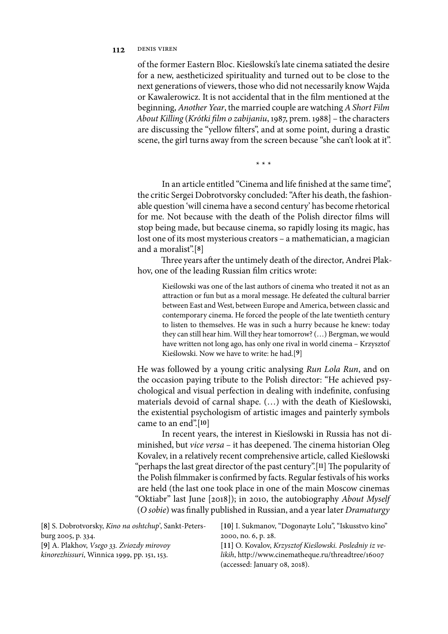### 112 DENIS VIREN

of the former Eastern Bloc. Kieślowski's late cinema satiated the desire for a new, aestheticized spirituality and turned out to be close to the next generations of viewers, those who did not necessarily know Wajda or Kawalerowicz. It is not accidental that in the film mentioned at the beginning, *Another Year*, the married couple are watching *A Short Film About Killing* (*Krótki* &*lm o zabijaniu*, 1987, prem. 1988] – the characters are discussing the "yellow filters", and at some point, during a drastic scene, the girl turns away from the screen because "she can't look at it".

\* \* \*

In an article entitled "Cinema and life finished at the same time", the critic Sergei Dobrotvorsky concluded: "After his death, the fashionable question 'will cinema have a second century' has become rhetorical for me. Not because with the death of the Polish director films will stop being made, but because cinema, so rapidly losing its magic, has lost one of its most mysterious creators – a mathematician, a magician and a moralist".[**8**]

Three years after the untimely death of the director, Andrei Plakhov, one of the leading Russian film critics wrote:

Kieślowski was one of the last authors of cinema who treated it not as an attraction or fun but as a moral message. He defeated the cultural barrier between East and West, between Europe and America, between classic and contemporary cinema. He forced the people of the late twentieth century to listen to themselves. He was in such a hurry because he knew: today they can still hear him. Will they hear tomorrow? (…) Bergman, we would have written not long ago, has only one rival in world cinema – Krzysztof Kieślowski. Now we have to write: he had.[**9**]

He was followed by a young critic analysing *Run Lola Run*, and on the occasion paying tribute to the Polish director: "He achieved psychological and visual perfection in dealing with indefinite, confusing materials devoid of carnal shape. (…) with the death of Kieślowski, the existential psychologism of artistic images and painterly symbols came to an end".[**10**]

In recent years, the interest in Kieślowski in Russia has not diminished, but *vice versa* – it has deepened. The cinema historian Oleg Kovalev, in a relatively recent comprehensive article, called Kieślowski "perhaps the last great director of the past century".[11] The popularity of the Polish filmmaker is confirmed by facts. Regular festivals of his works are held (the last one took place in one of the main Moscow cinemas "Oktiabr" last June [2018]); in 2010, the autobiography *About Myself*  (O sobie) was finally published in Russian, and a year later *Dramaturgy* 

| [8] S. Dobrotvorsky, <i>Kino na oshtchup</i> ', Sankt-Peters- | [10] I. Sukmanov, "Dogonayte Lolu", "Iskusstvo kino"    |
|---------------------------------------------------------------|---------------------------------------------------------|
| burg 2005, p. 334.                                            | 2000, no. 6, p. 28.                                     |
| [9] A. Plakhov, <i>Vsego 33. Zviozdy mirovoy</i>              | [11] O. Kovalov, Krzysztof Kieślowski. Posledniy iz ve- |
| kinorezhissuri, Winnica 1999, pp. 151, 153.                   | likih, http://www.cinematheque.ru/threadtree/16007      |
|                                                               | (accessed: January 08, 2018).                           |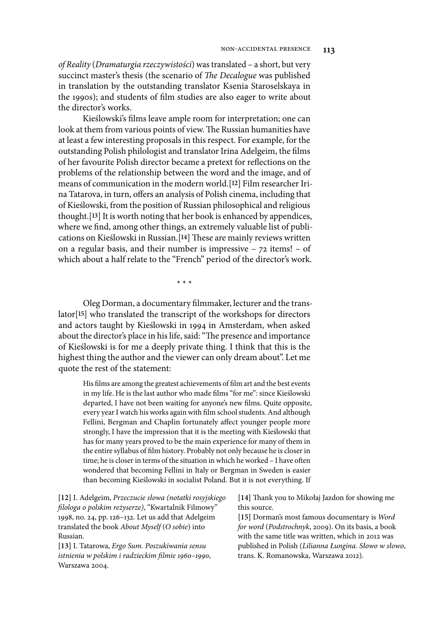*of Reality* (*Dramaturgia rzeczywisto*ś*ci*) was translated – a short, but very succinct master's thesis (the scenario of *The Decalogue* was published in translation by the outstanding translator Ksenia Staroselskaya in the 1990s); and students of film studies are also eager to write about the director's works.

Kieślowski's films leave ample room for interpretation; one can look at them from various points of view. The Russian humanities have at least a few interesting proposals in this respect. For example, for the outstanding Polish philologist and translator Irina Adelgeim, the films of her favourite Polish director became a pretext for reflections on the problems of the relationship between the word and the image, and of means of communication in the modern world.[**12**] Film researcher Irina Tatarova, in turn, offers an analysis of Polish cinema, including that of Kieślowski, from the position of Russian philosophical and religious thought.[**13**] It is worth noting that her book is enhanced by appendices, where we find, among other things, an extremely valuable list of publications on Kieślowski in Russian.<sup>[14]</sup> These are mainly reviews written on a regular basis, and their number is impressive  $-72$  items!  $-$  of which about a half relate to the "French" period of the director's work.

\* \* \*

Oleg Dorman, a documentary filmmaker, lecturer and the translator[**15**] who translated the transcript of the workshops for directors and actors taught by Kieślowski in 1994 in Amsterdam, when asked about the director's place in his life, said: "The presence and importance of Kieślowski is for me a deeply private thing. I think that this is the highest thing the author and the viewer can only dream about". Let me quote the rest of the statement:

His films are among the greatest achievements of film art and the best events in my life. He is the last author who made films "for me": since Kieślowski departed, I have not been waiting for anyone's new films. Quite opposite, every year I watch his works again with film school students. And although Fellini, Bergman and Chaplin fortunately affect younger people more strongly, I have the impression that it is the meeting with Kieślowski that has for many years proved to be the main experience for many of them in the entire syllabus of film history. Probably not only because he is closer in time; he is closer in terms of the situation in which he worked - I have often wondered that becoming Fellini in Italy or Bergman in Sweden is easier than becoming Kieślowski in socialist Poland. But it is not everything. If

**[12]** I. Adelgeim, *Przeczucie s*ł*owa (notatki rosyjskiego*  &*lologa o polskim re*ż*yserze)*, "Kwartalnik Filmowy" 1998, no. 24, pp. 126–132. Let us add that Adelgeim translated the book *About Myself* (*O sobie*) into Russian.

**[13]** I. Tatarowa, *Ergo Sum. Poszukiwania sensu istnienia w polskim i radzieckim* &*lmie* 1960*–*1990, Warszawa 2004.

[14] Thank you to Mikołaj Jazdon for showing me this source.

**[15]** Dorman's most famous documentary is *Word for word* (*Podstrochnyk*, 2009). On its basis, a book with the same title was written, which in 2012 was published in Polish (*Lilianna* Ł*ungina. S*ł*owo w s*ł*owo*, trans. K. Romanowska, Warszawa 2012).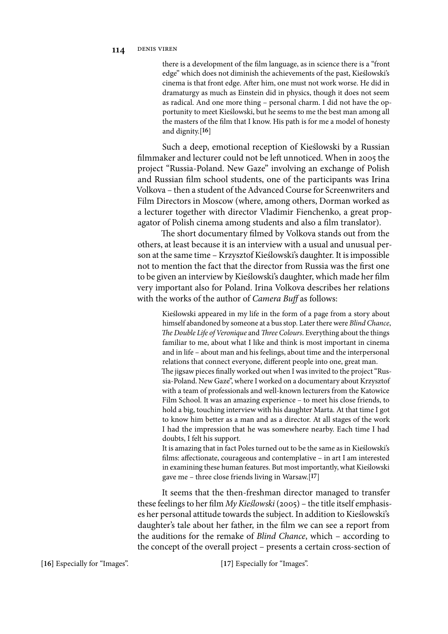there is a development of the film language, as in science there is a "front edge" which does not diminish the achievements of the past, Kieślowski's cinema is that front edge. After him, one must not work worse. He did in dramaturgy as much as Einstein did in physics, though it does not seem as radical. And one more thing – personal charm. I did not have the opportunity to meet Kieślowski, but he seems to me the best man among all the masters of the film that I know. His path is for me a model of honesty and dignity.[**16**]

Such a deep, emotional reception of Kieślowski by a Russian filmmaker and lecturer could not be left unnoticed. When in 2005 the project "Russia-Poland. New Gaze" involving an exchange of Polish and Russian film school students, one of the participants was Irina Volkova – then a student of the Advanced Course for Screenwriters and Film Directors in Moscow (where, among others, Dorman worked as a lecturer together with director Vladimir Fienchenko, a great propagator of Polish cinema among students and also a film translator).

The short documentary filmed by Volkova stands out from the others, at least because it is an interview with a usual and unusual person at the same time – Krzysztof Kieślowski's daughter. It is impossible not to mention the fact that the director from Russia was the first one to be given an interview by Kieślowski's daughter, which made her film very important also for Poland. Irina Volkova describes her relations with the works of the author of *Camera Buff* as follows:

Kieślowski appeared in my life in the form of a page from a story about himself abandoned by someone at a bus stop. Later there were *Blind Chance*, *The Double Life of Veronique* and *Three Colours*. Everything about the things familiar to me, about what I like and think is most important in cinema and in life – about man and his feelings, about time and the interpersonal relations that connect everyone, different people into one, great man. The jigsaw pieces finally worked out when I was invited to the project "Russia-Poland. New Gaze", where I worked on a documentary about Krzysztof with a team of professionals and well-known lecturers from the Katowice Film School. It was an amazing experience – to meet his close friends, to hold a big, touching interview with his daughter Marta. At that time I got to know him better as a man and as a director. At all stages of the work I had the impression that he was somewhere nearby. Each time I had doubts, I felt his support.

It is amazing that in fact Poles turned out to be the same as in Kieślowski's films: affectionate, courageous and contemplative - in art I am interested in examining these human features. But most importantly, what Kieślowski gave me – three close friends living in Warsaw.[**17**]

It seems that the then-freshman director managed to transfer these feelings to her film *My Kieślowski* (2005) – the title itself emphasises her personal attitude towards the subject. In addition to Kieślowski's daughter's tale about her father, in the film we can see a report from the auditions for the remake of *Blind Chance*, which – according to the concept of the overall project – presents a certain cross-section of

**[16]** Especially for "Images". **[17]** Especially for "Images".